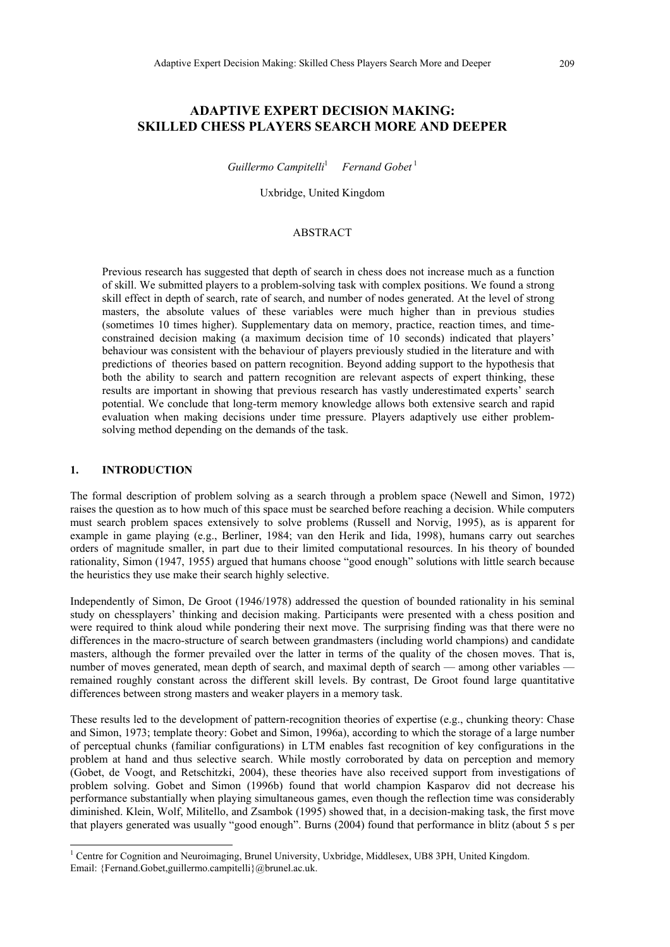# **ADAPTIVE EXPERT DECISION MAKING: SKILLED CHESS PLAYERS SEARCH MORE AND DEEPER**

*Guillermo Campitelli*<sup>1</sup> *Fernand Gobet*<sup>[1](#page-0-0)</sup>

Uxbridge, United Kingdom

# ABSTRACT

Previous research has suggested that depth of search in chess does not increase much as a function of skill. We submitted players to a problem-solving task with complex positions. We found a strong skill effect in depth of search, rate of search, and number of nodes generated. At the level of strong masters, the absolute values of these variables were much higher than in previous studies (sometimes 10 times higher). Supplementary data on memory, practice, reaction times, and timeconstrained decision making (a maximum decision time of 10 seconds) indicated that players' behaviour was consistent with the behaviour of players previously studied in the literature and with predictions of theories based on pattern recognition. Beyond adding support to the hypothesis that both the ability to search and pattern recognition are relevant aspects of expert thinking, these results are important in showing that previous research has vastly underestimated experts' search potential. We conclude that long-term memory knowledge allows both extensive search and rapid evaluation when making decisions under time pressure. Players adaptively use either problemsolving method depending on the demands of the task.

#### **1. INTRODUCTION**

 $\overline{a}$ 

The formal description of problem solving as a search through a problem space (Newell and Simon, 1972) raises the question as to how much of this space must be searched before reaching a decision. While computers must search problem spaces extensively to solve problems (Russell and Norvig, 1995), as is apparent for example in game playing (e.g., Berliner, 1984; van den Herik and Iida, 1998), humans carry out searches orders of magnitude smaller, in part due to their limited computational resources. In his theory of bounded rationality, Simon (1947, 1955) argued that humans choose "good enough" solutions with little search because the heuristics they use make their search highly selective.

Independently of Simon, De Groot (1946/1978) addressed the question of bounded rationality in his seminal study on chessplayers' thinking and decision making. Participants were presented with a chess position and were required to think aloud while pondering their next move. The surprising finding was that there were no differences in the macro-structure of search between grandmasters (including world champions) and candidate masters, although the former prevailed over the latter in terms of the quality of the chosen moves. That is, number of moves generated, mean depth of search, and maximal depth of search — among other variables remained roughly constant across the different skill levels. By contrast, De Groot found large quantitative differences between strong masters and weaker players in a memory task.

These results led to the development of pattern-recognition theories of expertise (e.g., chunking theory: Chase and Simon, 1973; template theory: Gobet and Simon, 1996a), according to which the storage of a large number of perceptual chunks (familiar configurations) in LTM enables fast recognition of key configurations in the problem at hand and thus selective search. While mostly corroborated by data on perception and memory (Gobet, de Voogt, and Retschitzki, 2004), these theories have also received support from investigations of problem solving. Gobet and Simon (1996b) found that world champion Kasparov did not decrease his performance substantially when playing simultaneous games, even though the reflection time was considerably diminished. Klein, Wolf, Militello, and Zsambok (1995) showed that, in a decision-making task, the first move that players generated was usually "good enough". Burns (2004) found that performance in blitz (about 5 s per

<span id="page-0-0"></span><sup>&</sup>lt;sup>1</sup> Centre for Cognition and Neuroimaging, Brunel University, Uxbridge, Middlesex, UB8 3PH, United Kingdom. Email: {Fernand.Gobet,guillermo.campitelli}@brunel.ac.uk.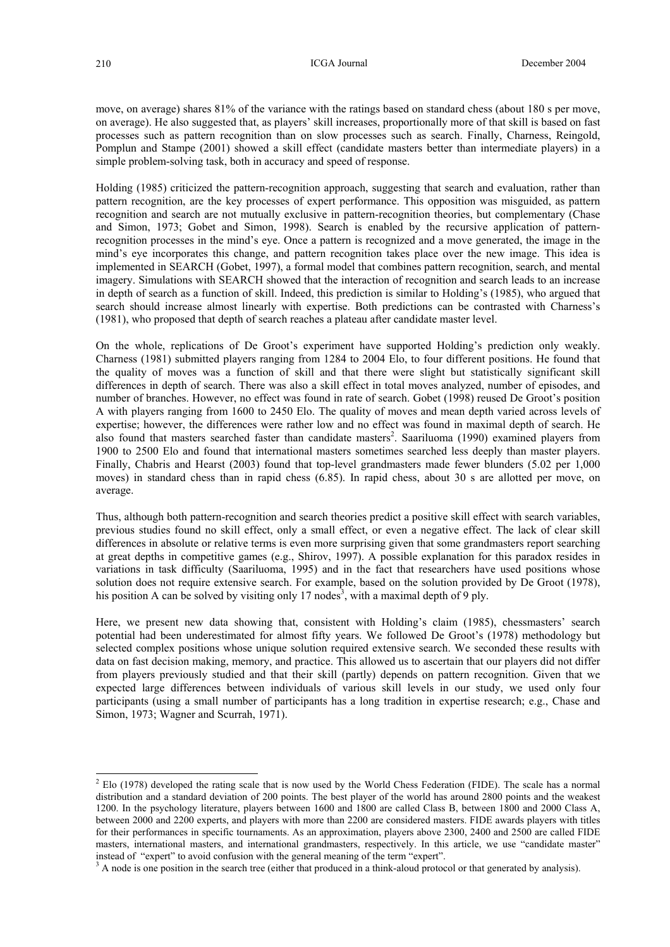move, on average) shares 81% of the variance with the ratings based on standard chess (about 180 s per move, on average). He also suggested that, as players' skill increases, proportionally more of that skill is based on fast processes such as pattern recognition than on slow processes such as search. Finally, Charness, Reingold, Pomplun and Stampe (2001) showed a skill effect (candidate masters better than intermediate players) in a simple problem-solving task, both in accuracy and speed of response.

Holding (1985) criticized the pattern-recognition approach, suggesting that search and evaluation, rather than pattern recognition, are the key processes of expert performance. This opposition was misguided, as pattern recognition and search are not mutually exclusive in pattern-recognition theories, but complementary (Chase and Simon, 1973; Gobet and Simon, 1998). Search is enabled by the recursive application of patternrecognition processes in the mind's eye. Once a pattern is recognized and a move generated, the image in the mind's eye incorporates this change, and pattern recognition takes place over the new image. This idea is implemented in SEARCH (Gobet, 1997), a formal model that combines pattern recognition, search, and mental imagery. Simulations with SEARCH showed that the interaction of recognition and search leads to an increase in depth of search as a function of skill. Indeed, this prediction is similar to Holding's (1985), who argued that search should increase almost linearly with expertise. Both predictions can be contrasted with Charness's (1981), who proposed that depth of search reaches a plateau after candidate master level.

On the whole, replications of De Groot's experiment have supported Holding's prediction only weakly. Charness (1981) submitted players ranging from 1284 to 2004 Elo, to four different positions. He found that the quality of moves was a function of skill and that there were slight but statistically significant skill differences in depth of search. There was also a skill effect in total moves analyzed, number of episodes, and number of branches. However, no effect was found in rate of search. Gobet (1998) reused De Groot's position A with players ranging from 1600 to 2450 Elo. The quality of moves and mean depth varied across levels of expertise; however, the differences were rather low and no effect was found in maximal depth of search. He also found that masters searched faster than candidate masters<sup>[2](#page-1-0)</sup>. Saariluoma (1990) examined players from 1900 to 2500 Elo and found that international masters sometimes searched less deeply than master players. Finally, Chabris and Hearst (2003) found that top-level grandmasters made fewer blunders (5.02 per 1,000 moves) in standard chess than in rapid chess (6.85). In rapid chess, about 30 s are allotted per move, on average.

Thus, although both pattern-recognition and search theories predict a positive skill effect with search variables, previous studies found no skill effect, only a small effect, or even a negative effect. The lack of clear skill differences in absolute or relative terms is even more surprising given that some grandmasters report searching at great depths in competitive games (e.g., Shirov, 1997). A possible explanation for this paradox resides in variations in task difficulty (Saariluoma, 1995) and in the fact that researchers have used positions whose solution does not require extensive search. For example, based on the solution provided by De Groot (1978), his position A can be solved by visiting only 17 nodes<sup>[3](#page-1-1)</sup>, with a maximal depth of 9 ply.

Here, we present new data showing that, consistent with Holding's claim (1985), chessmasters' search potential had been underestimated for almost fifty years. We followed De Groot's (1978) methodology but selected complex positions whose unique solution required extensive search. We seconded these results with data on fast decision making, memory, and practice. This allowed us to ascertain that our players did not differ from players previously studied and that their skill (partly) depends on pattern recognition. Given that we expected large differences between individuals of various skill levels in our study, we used only four participants (using a small number of participants has a long tradition in expertise research; e.g., Chase and Simon, 1973; Wagner and Scurrah, 1971).

l

<span id="page-1-0"></span> $<sup>2</sup>$  Elo (1978) developed the rating scale that is now used by the World Chess Federation (FIDE). The scale has a normal</sup> distribution and a standard deviation of 200 points. The best player of the world has around 2800 points and the weakest 1200. In the psychology literature, players between 1600 and 1800 are called Class B, between 1800 and 2000 Class A, between 2000 and 2200 experts, and players with more than 2200 are considered masters. FIDE awards players with titles for their performances in specific tournaments. As an approximation, players above 2300, 2400 and 2500 are called FIDE masters, international masters, and international grandmasters, respectively. In this article, we use "candidate master" instead of "expert" to avoid confusion with the general meaning of the term "expert".

<span id="page-1-1"></span> $A<sup>3</sup>$  A node is one position in the search tree (either that produced in a think-aloud protocol or that generated by analysis).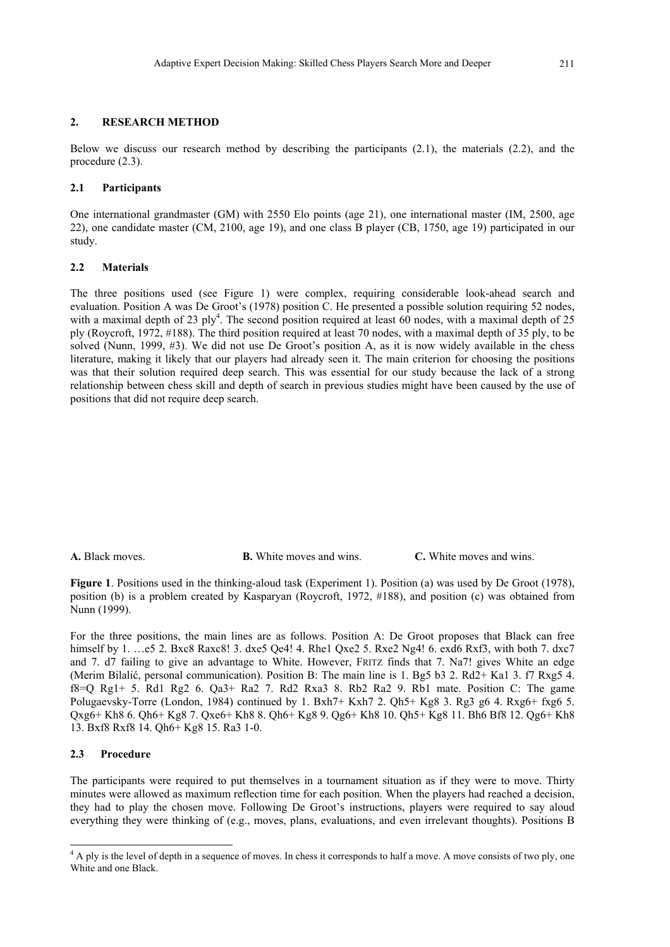### **2. RESEARCH METHOD**

Below we discuss our research method by describing the participants (2.1), the materials (2.2), and the procedure (2.3).

#### **2.1 Participants**

One international grandmaster (GM) with 2550 Elo points (age 21), one international master (IM, 2500, age 22), one candidate master (CM, 2100, age 19), and one class B player (CB, 1750, age 19) participated in our study.

### **2.2 Materials**

The three positions used (see Figure 1) were complex, requiring considerable look-ahead search and evaluation. Position A was De Groot's (1978) position C. He presented a possible solution requiring 52 nodes, with a maximal depth of 23  $\text{ply}^4$ . The second position required at least 60 nodes, with a maximal depth of 25 ply (Roycroft, 1972, #188). The third position required at least 70 nodes, with a maximal depth of 35 ply, to be solved (Nunn, 1999, #3). We did not use De Groot's position A, as it is now widely available in the chess literature, making it likely that our players had already seen it. The main criterion for choosing the positions was that their solution required deep search. This was essential for our study because the lack of a strong relationship between chess skill and depth of search in previous studies might have been caused by the use of positions that did not require deep search.

**A.** Black moves. **B.** White moves and wins. **C.** White moves and wins.

**Figure 1**. Positions used in the thinking-aloud task (Experiment 1). Position (a) was used by De Groot (1978), position (b) is a problem created by Kasparyan (Roycroft, 1972, #188), and position (c) was obtained from Nunn (1999).

For the three positions, the main lines are as follows. Position A: De Groot proposes that Black can free himself by 1. …e5 2. Bxc8 Raxc8! 3. dxe5 Qe4! 4. Rhe1 Qxe2 5. Rxe2 Ng4! 6. exd6 Rxf3, with both 7. dxc7 and 7. d7 failing to give an advantage to White. However, FRITZ finds that 7. Na7! gives White an edge (Merim Bilalić, personal communication). Position B: The main line is 1. Bg5 b3 2. Rd2+ Ka1 3. f7 Rxg5 4. f8=Q Rg1+ 5. Rd1 Rg2 6. Qa3+ Ra2 7. Rd2 Rxa3 8. Rb2 Ra2 9. Rb1 mate. Position C: The game Polugaevsky-Torre (London, 1984) continued by 1. Bxh7+ Kxh7 2. Qh5+ Kg8 3. Rg3 g6 4. Rxg6+ fxg6 5. Qxg6+ Kh8 6. Qh6+ Kg8 7. Qxe6+ Kh8 8. Qh6+ Kg8 9. Qg6+ Kh8 10. Qh5+ Kg8 11. Bh6 Bf8 12. Qg6+ Kh8 13. Bxf8 Rxf8 14. Qh6+ Kg8 15. Ra3 1-0.

### **2.3 Procedure**

 $\overline{a}$ 

The participants were required to put themselves in a tournament situation as if they were to move. Thirty minutes were allowed as maximum reflection time for each position. When the players had reached a decision, they had to play the chosen move. Following De Groot's instructions, players were required to say aloud everything they were thinking of (e.g., moves, plans, evaluations, and even irrelevant thoughts). Positions B

<span id="page-2-0"></span><sup>&</sup>lt;sup>4</sup> A ply is the level of depth in a sequence of moves. In chess it corresponds to half a move. A move consists of two ply, one White and one Black.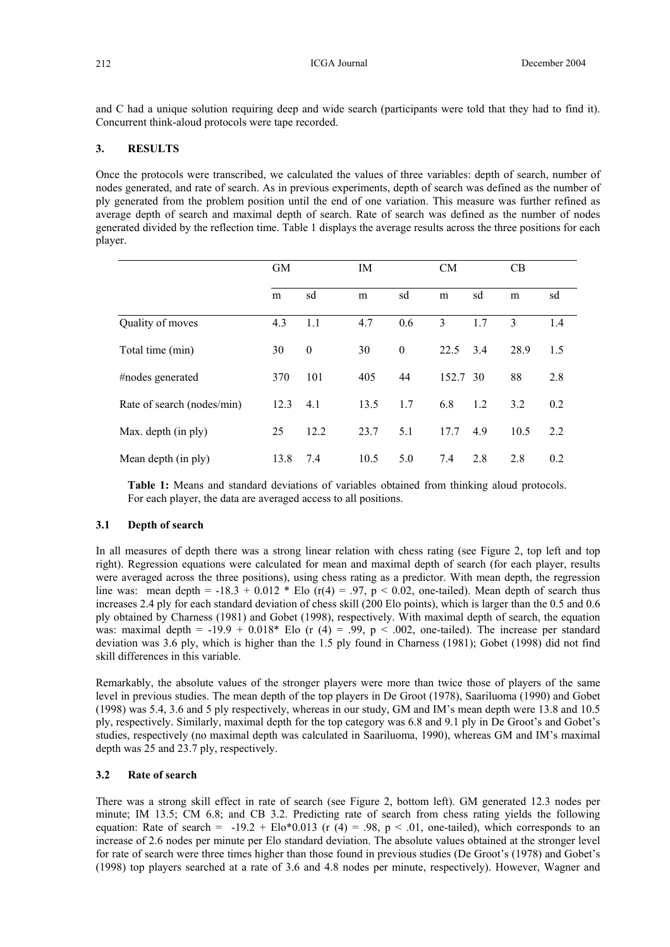and C had a unique solution requiring deep and wide search (participants were told that they had to find it). Concurrent think-aloud protocols were tape recorded.

# **3. RESULTS**

Once the protocols were transcribed, we calculated the values of three variables: depth of search, number of nodes generated, and rate of search. As in previous experiments, depth of search was defined as the number of ply generated from the problem position until the end of one variation. This measure was further refined as average depth of search and maximal depth of search. Rate of search was defined as the number of nodes generated divided by the reflection time. Table 1 displays the average results across the three positions for each player.

|                            | <b>GM</b> |              | IM   |          | <b>CM</b> |     | CB   |     |
|----------------------------|-----------|--------------|------|----------|-----------|-----|------|-----|
|                            | m         | sd           | m    | sd       | m         | sd  | m    | sd  |
| Quality of moves           | 4.3       | 1.1          | 4.7  | 0.6      | 3         | 1.7 | 3    | 1.4 |
| Total time (min)           | 30        | $\mathbf{0}$ | 30   | $\theta$ | 22.5      | 3.4 | 28.9 | 1.5 |
| #nodes generated           | 370       | 101          | 405  | 44       | 152.7 30  |     | 88   | 2.8 |
| Rate of search (nodes/min) | 12.3      | 4.1          | 13.5 | 1.7      | 6.8       | 1.2 | 3.2  | 0.2 |
| Max. depth (in ply)        | 25        | 12.2         | 23.7 | 5.1      | 17.7      | 4.9 | 10.5 | 2.2 |
| Mean depth (in ply)        | 13.8      | 7.4          | 10.5 | 5.0      | 7.4       | 2.8 | 2.8  | 0.2 |

**Table 1:** Means and standard deviations of variables obtained from thinking aloud protocols. For each player, the data are averaged access to all positions.

### **3.1 Depth of search**

In all measures of depth there was a strong linear relation with chess rating (see Figure 2, top left and top right). Regression equations were calculated for mean and maximal depth of search (for each player, results were averaged across the three positions), using chess rating as a predictor. With mean depth, the regression line was: mean depth =  $-18.3 + 0.012 *$  Elo (r(4) = .97, p < 0.02, one-tailed). Mean depth of search thus increases 2.4 ply for each standard deviation of chess skill (200 Elo points), which is larger than the 0.5 and 0.6 ply obtained by Charness (1981) and Gobet (1998), respectively. With maximal depth of search, the equation was: maximal depth =  $-19.9 + 0.018*$  Elo (r (4) = .99, p < .002, one-tailed). The increase per standard deviation was 3.6 ply, which is higher than the 1.5 ply found in Charness (1981); Gobet (1998) did not find skill differences in this variable.

Remarkably, the absolute values of the stronger players were more than twice those of players of the same level in previous studies. The mean depth of the top players in De Groot (1978), Saariluoma (1990) and Gobet (1998) was 5.4, 3.6 and 5 ply respectively, whereas in our study, GM and IM's mean depth were 13.8 and 10.5 ply, respectively. Similarly, maximal depth for the top category was 6.8 and 9.1 ply in De Groot's and Gobet's studies, respectively (no maximal depth was calculated in Saariluoma, 1990), whereas GM and IM's maximal depth was 25 and 23.7 ply, respectively.

### **3.2 Rate of search**

There was a strong skill effect in rate of search (see Figure 2, bottom left). GM generated 12.3 nodes per minute; IM 13.5; CM 6.8; and CB 3.2. Predicting rate of search from chess rating yields the following equation: Rate of search =  $-19.2 + E1o*0.013$  (r (4) = .98, p < .01, one-tailed), which corresponds to an increase of 2.6 nodes per minute per Elo standard deviation. The absolute values obtained at the stronger level for rate of search were three times higher than those found in previous studies (De Groot's (1978) and Gobet's (1998) top players searched at a rate of 3.6 and 4.8 nodes per minute, respectively). However, Wagner and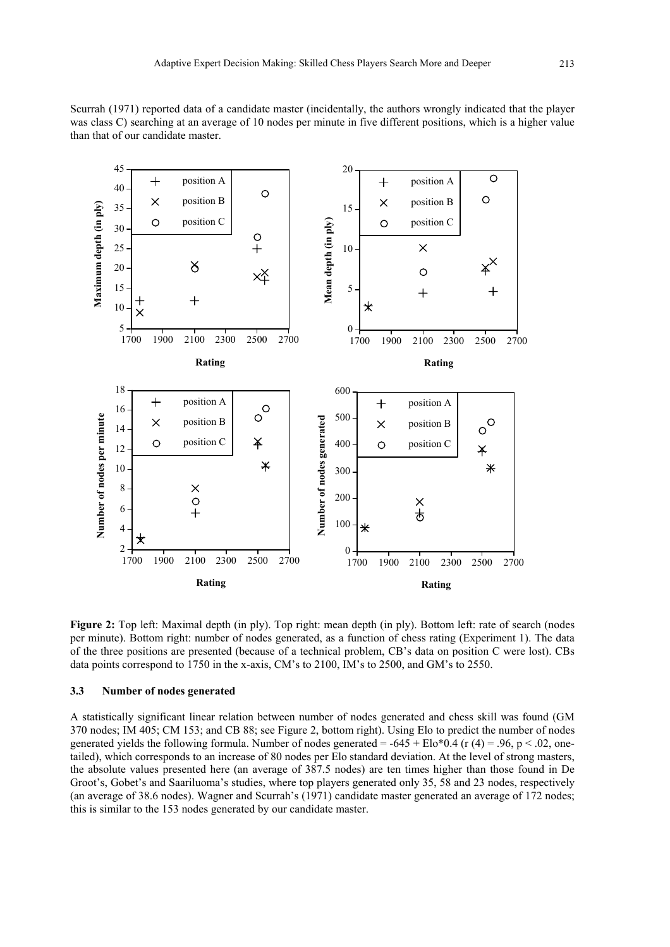



**Figure 2:** Top left: Maximal depth (in ply). Top right: mean depth (in ply). Bottom left: rate of search (nodes per minute). Bottom right: number of nodes generated, as a function of chess rating (Experiment 1). The data of the three positions are presented (because of a technical problem, CB's data on position C were lost). CBs data points correspond to 1750 in the x-axis, CM's to 2100, IM's to 2500, and GM's to 2550.

### **3.3 Number of nodes generated**

A statistically significant linear relation between number of nodes generated and chess skill was found (GM 370 nodes; IM 405; CM 153; and CB 88; see Figure 2, bottom right). Using Elo to predict the number of nodes generated yields the following formula. Number of nodes generated =  $-645 + E$ lo\*0.4 (r (4) = .96, p < .02, onetailed), which corresponds to an increase of 80 nodes per Elo standard deviation. At the level of strong masters, the absolute values presented here (an average of 387.5 nodes) are ten times higher than those found in De Groot's, Gobet's and Saariluoma's studies, where top players generated only 35, 58 and 23 nodes, respectively (an average of 38.6 nodes). Wagner and Scurrah's (1971) candidate master generated an average of 172 nodes; this is similar to the 153 nodes generated by our candidate master.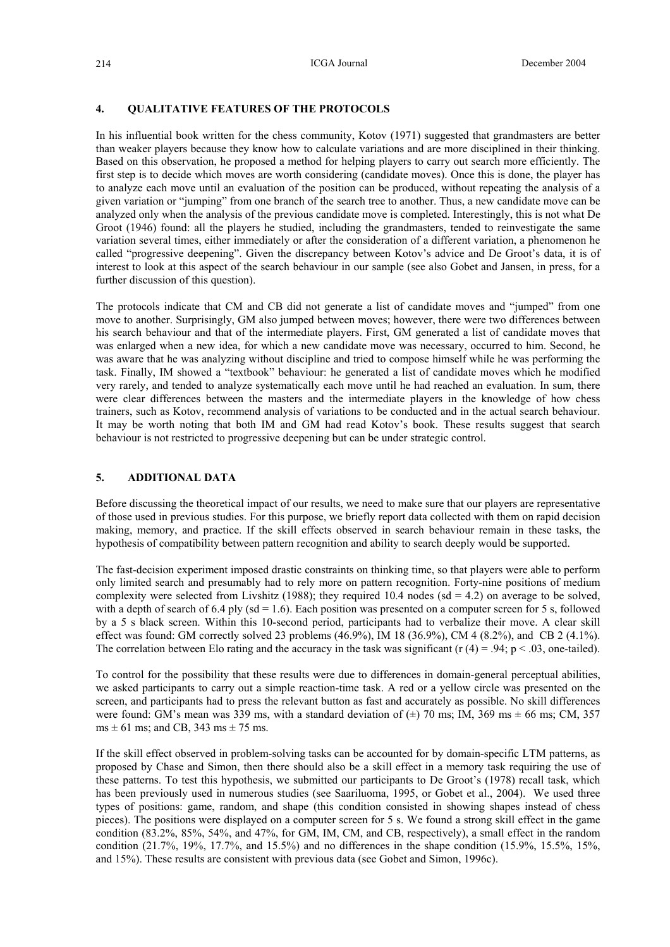### **4. QUALITATIVE FEATURES OF THE PROTOCOLS**

In his influential book written for the chess community, Kotov (1971) suggested that grandmasters are better than weaker players because they know how to calculate variations and are more disciplined in their thinking. Based on this observation, he proposed a method for helping players to carry out search more efficiently. The first step is to decide which moves are worth considering (candidate moves). Once this is done, the player has to analyze each move until an evaluation of the position can be produced, without repeating the analysis of a given variation or "jumping" from one branch of the search tree to another. Thus, a new candidate move can be analyzed only when the analysis of the previous candidate move is completed. Interestingly, this is not what De Groot (1946) found: all the players he studied, including the grandmasters, tended to reinvestigate the same variation several times, either immediately or after the consideration of a different variation, a phenomenon he called "progressive deepening". Given the discrepancy between Kotov's advice and De Groot's data, it is of interest to look at this aspect of the search behaviour in our sample (see also Gobet and Jansen, in press, for a further discussion of this question).

The protocols indicate that CM and CB did not generate a list of candidate moves and "jumped" from one move to another. Surprisingly, GM also jumped between moves; however, there were two differences between his search behaviour and that of the intermediate players. First, GM generated a list of candidate moves that was enlarged when a new idea, for which a new candidate move was necessary, occurred to him. Second, he was aware that he was analyzing without discipline and tried to compose himself while he was performing the task. Finally, IM showed a "textbook" behaviour: he generated a list of candidate moves which he modified very rarely, and tended to analyze systematically each move until he had reached an evaluation. In sum, there were clear differences between the masters and the intermediate players in the knowledge of how chess trainers, such as Kotov, recommend analysis of variations to be conducted and in the actual search behaviour. It may be worth noting that both IM and GM had read Kotov's book. These results suggest that search behaviour is not restricted to progressive deepening but can be under strategic control.

### **5. ADDITIONAL DATA**

Before discussing the theoretical impact of our results, we need to make sure that our players are representative of those used in previous studies. For this purpose, we briefly report data collected with them on rapid decision making, memory, and practice. If the skill effects observed in search behaviour remain in these tasks, the hypothesis of compatibility between pattern recognition and ability to search deeply would be supported.

The fast-decision experiment imposed drastic constraints on thinking time, so that players were able to perform only limited search and presumably had to rely more on pattern recognition. Forty-nine positions of medium complexity were selected from Livshitz (1988); they required 10.4 nodes (sd = 4.2) on average to be solved, with a depth of search of 6.4 ply ( $sd = 1.6$ ). Each position was presented on a computer screen for 5 s, followed by a 5 s black screen. Within this 10-second period, participants had to verbalize their move. A clear skill effect was found: GM correctly solved 23 problems  $(46.9\%)$ , IM 18  $(36.9\%)$ , CM 4  $(8.2\%)$ , and CB 2  $(4.1\%)$ . The correlation between Elo rating and the accuracy in the task was significant (r  $(4) = .94$ ; p < .03, one-tailed).

To control for the possibility that these results were due to differences in domain-general perceptual abilities, we asked participants to carry out a simple reaction-time task. A red or a yellow circle was presented on the screen, and participants had to press the relevant button as fast and accurately as possible. No skill differences were found: GM's mean was 339 ms, with a standard deviation of  $(\pm)$  70 ms; IM, 369 ms  $\pm$  66 ms; CM, 357  $ms \pm 61$  ms; and CB, 343 ms  $\pm$  75 ms.

If the skill effect observed in problem-solving tasks can be accounted for by domain-specific LTM patterns, as proposed by Chase and Simon, then there should also be a skill effect in a memory task requiring the use of these patterns. To test this hypothesis, we submitted our participants to De Groot's (1978) recall task, which has been previously used in numerous studies (see Saariluoma, 1995, or Gobet et al., 2004). We used three types of positions: game, random, and shape (this condition consisted in showing shapes instead of chess pieces). The positions were displayed on a computer screen for 5 s. We found a strong skill effect in the game condition (83.2%, 85%, 54%, and 47%, for GM, IM, CM, and CB, respectively), a small effect in the random condition  $(21.7\%, 19\%, 17.7\%, \text{ and } 15.5\%)$  and no differences in the shape condition  $(15.9\%, 15.5\%, 15\%)$ and 15%). These results are consistent with previous data (see Gobet and Simon, 1996c).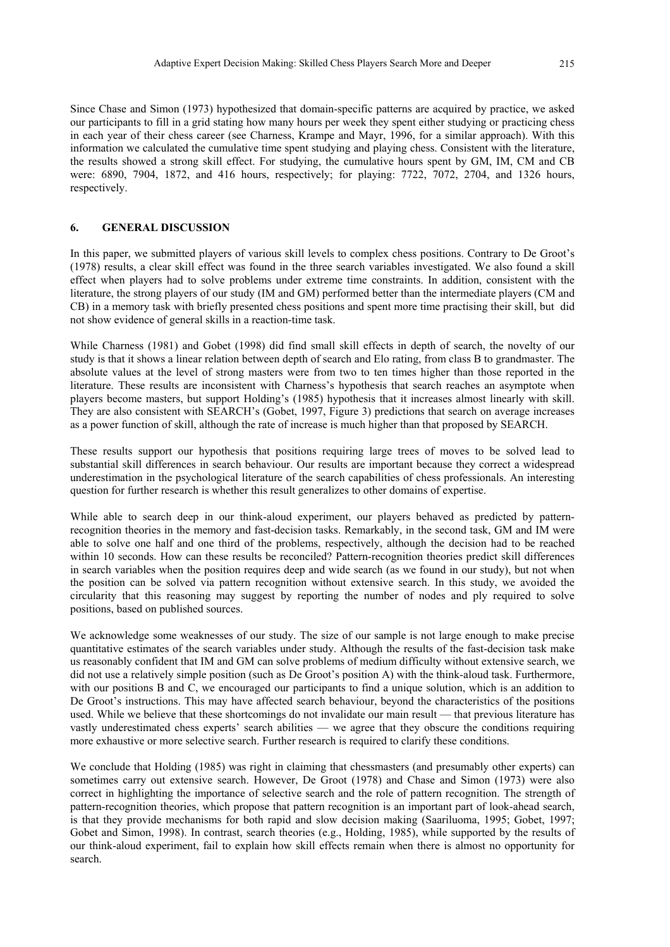Since Chase and Simon (1973) hypothesized that domain-specific patterns are acquired by practice, we asked our participants to fill in a grid stating how many hours per week they spent either studying or practicing chess in each year of their chess career (see Charness, Krampe and Mayr, 1996, for a similar approach). With this information we calculated the cumulative time spent studying and playing chess. Consistent with the literature, the results showed a strong skill effect. For studying, the cumulative hours spent by GM, IM, CM and CB were: 6890, 7904, 1872, and 416 hours, respectively; for playing: 7722, 7072, 2704, and 1326 hours, respectively.

## **6. GENERAL DISCUSSION**

In this paper, we submitted players of various skill levels to complex chess positions. Contrary to De Groot's (1978) results, a clear skill effect was found in the three search variables investigated. We also found a skill effect when players had to solve problems under extreme time constraints. In addition, consistent with the literature, the strong players of our study (IM and GM) performed better than the intermediate players (CM and CB) in a memory task with briefly presented chess positions and spent more time practising their skill, but did not show evidence of general skills in a reaction-time task.

While Charness (1981) and Gobet (1998) did find small skill effects in depth of search, the novelty of our study is that it shows a linear relation between depth of search and Elo rating, from class B to grandmaster. The absolute values at the level of strong masters were from two to ten times higher than those reported in the literature. These results are inconsistent with Charness's hypothesis that search reaches an asymptote when players become masters, but support Holding's (1985) hypothesis that it increases almost linearly with skill. They are also consistent with SEARCH's (Gobet, 1997, Figure 3) predictions that search on average increases as a power function of skill, although the rate of increase is much higher than that proposed by SEARCH.

These results support our hypothesis that positions requiring large trees of moves to be solved lead to substantial skill differences in search behaviour. Our results are important because they correct a widespread underestimation in the psychological literature of the search capabilities of chess professionals. An interesting question for further research is whether this result generalizes to other domains of expertise.

While able to search deep in our think-aloud experiment, our players behaved as predicted by patternrecognition theories in the memory and fast-decision tasks. Remarkably, in the second task, GM and IM were able to solve one half and one third of the problems, respectively, although the decision had to be reached within 10 seconds. How can these results be reconciled? Pattern-recognition theories predict skill differences in search variables when the position requires deep and wide search (as we found in our study), but not when the position can be solved via pattern recognition without extensive search. In this study, we avoided the circularity that this reasoning may suggest by reporting the number of nodes and ply required to solve positions, based on published sources.

We acknowledge some weaknesses of our study. The size of our sample is not large enough to make precise quantitative estimates of the search variables under study. Although the results of the fast-decision task make us reasonably confident that IM and GM can solve problems of medium difficulty without extensive search, we did not use a relatively simple position (such as De Groot's position A) with the think-aloud task. Furthermore, with our positions B and C, we encouraged our participants to find a unique solution, which is an addition to De Groot's instructions. This may have affected search behaviour, beyond the characteristics of the positions used. While we believe that these shortcomings do not invalidate our main result — that previous literature has vastly underestimated chess experts' search abilities — we agree that they obscure the conditions requiring more exhaustive or more selective search. Further research is required to clarify these conditions.

We conclude that Holding (1985) was right in claiming that chessmasters (and presumably other experts) can sometimes carry out extensive search. However, De Groot (1978) and Chase and Simon (1973) were also correct in highlighting the importance of selective search and the role of pattern recognition. The strength of pattern-recognition theories, which propose that pattern recognition is an important part of look-ahead search, is that they provide mechanisms for both rapid and slow decision making (Saariluoma, 1995; Gobet, 1997; Gobet and Simon, 1998). In contrast, search theories (e.g., Holding, 1985), while supported by the results of our think-aloud experiment, fail to explain how skill effects remain when there is almost no opportunity for search.